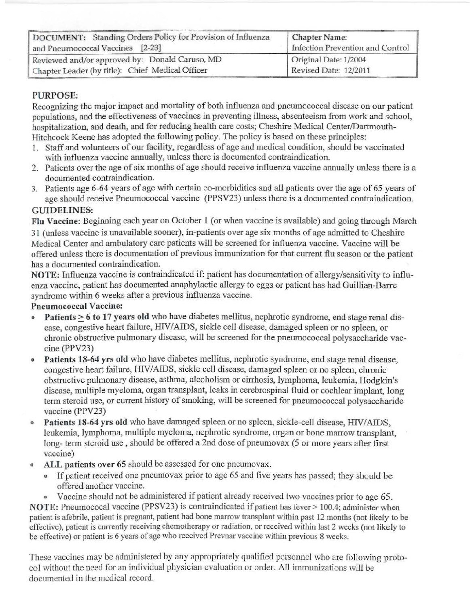| DOCUMENT: Standing Orders Policy for Provision of Influenza<br>and Pneumococcal Vaccines [2-23] | <b>Chapter Name:</b><br>Infection Prevention and Control |
|-------------------------------------------------------------------------------------------------|----------------------------------------------------------|
| Reviewed and/or approved by: Donald Caruso, MD                                                  | Original Date: 1/2004                                    |
| Chapter Leader (by title): Chief Medical Officer                                                | Revised Date: 12/2011                                    |

## PURPOSE:

Recognizing the major impact and mortality of both influenza and pneumococcal disease on our patient populations, and the effectiveness of vaccines in preventing illness, absenteeism from work and school, hospitalization, and death, and for reducing health care costs; Cheshire Medical Center/Dartmouth-Hitchcock Keene has adopted the following policy. The policy is based on these principles:

- 1. Staff and volunteers of our facility, regardless of age and medical condition, should be vaccinated with influenza vaccine annually, unless there is documented contraindication.
- 2. Patients over the age of six months of age should receive influenza vaccine annually unless there is a documented contraindication.
- 3. Patients age 6-64 years of age with certain co-morbidities and all patients over the age of 65 years of age should receive Pnewnococcal vaccine (PPSV23) unless there is a documented contraindication. GUIDELINES:

Flu Vaccine: Beginning each year on October 1 (or when vaccine is available) and going through March 31 (unless vaccine is unavailable sooner), in-patients over age six months of age admitted to Cheshire Medical Center and ambulatory care patients will be screened for influenza vaccine. Vaccine will be offered unless there is documentation of previous immunization for that current flu season or the patient has a documented contraindication.

NOTE: Influenza vaccine is contraindicated if: patient has documentation of allergy/sensitivity to influenza vaccine, patient has documented anaphylactic allergy to eggs or patient has had Guillian-Barre syndrome within 6 weeks after a previous influenza vaccine.

### Pneumococcal Vaccine:

- Patients  $> 6$  to 17 years old who have diabetes mellitus, nephrotic syndrome, end stage renal disease, congestive heart failure, HIV/AIDS, sickle cell disease, damaged spleen or no spleen, or chronic obstructive pulmonary disease, will be screened for the pneumococcal polysaccharide vaccine (PPV23)
- Patients 18-64 yrs old who have diabetes mellitus, nephrotic syndrome, end stage renal disease. congestive heart failure, HIV/AIDS, sickle cell disease, damaged spleen or no spleen, chronic obstructive pulmonary disease, asthma, alcoholism or cirrhosis, lymphoma, leukemia, Hodgkin's disease, multiple myeloma, organ transplant, leaks in cerebrospinal fluid or cochlear implant, long term steroid use, or current history of smoking, will be screened for pneumococcal polysaccharide vaccine (PPV23)
- Patients 18-64 yrs old who have damaged spleen or no spleen, sickle-cell disease, HIV/AIDS, leukemia, lymphoma, multiple myeloma, nephrotic syndrome, organ or bone marrow transplant, long- term steroid use , should be offered a 2nd dose of pneumovax (5 or more years after first vaccine)
- ALL patients over 65 should be assessed for one pneumovax.
	- o If patient received one pneumovax prior to age 65 and five years has passed; they should be offered another vaccine.
	- Vaccine should not be administered if patient already received two vaccines prior to age 65.

NOTE: Pneumococal vaccine (PPSV23) is contraindicated if patient has fever > 100.4; administer when patient is afebrile, patient is pregnant, patient had bone marrow transplant within past 12 months (not likely to be effective), patient is currently receiving chemotherapy or radiation, or received within last 2 weeks (not likely to be effective) or patient is 6 years of age who received Prevnar vaccine within previous 8 weeks.

These vaccines may be administered by any appropriately qualified personnel who are following protocol without the need for an individual physician evaluation or order. All immunizations will be documented in the medical record.